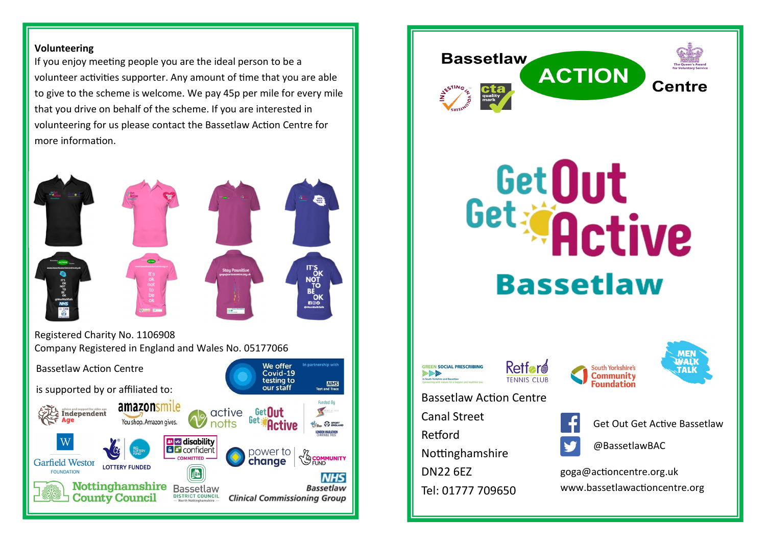#### **Volunteering**

If you enjoy meeting people you are the ideal person to be a volunteer activities supporter. Any amount of time that you are able to give to the scheme is welcome. We pay 45p per mile for every mile that you drive on behalf of the scheme. If you are interested in volunteering for us please contact the Bassetlaw Action Centre for more information.



Registered Charity No. 1106908 Company Registered in England and Wales No. 05177066









**Retfare TENNIS CIUP** 





Bassetlaw Action Centre Canal Street Retford Nottinghamshire DN22 6EZ Tel: 01777 709650

Get Out Get Active Bassetlaw

@BassetlawBAC

goga@actioncentre.org.uk www.bassetlawactioncentre.org